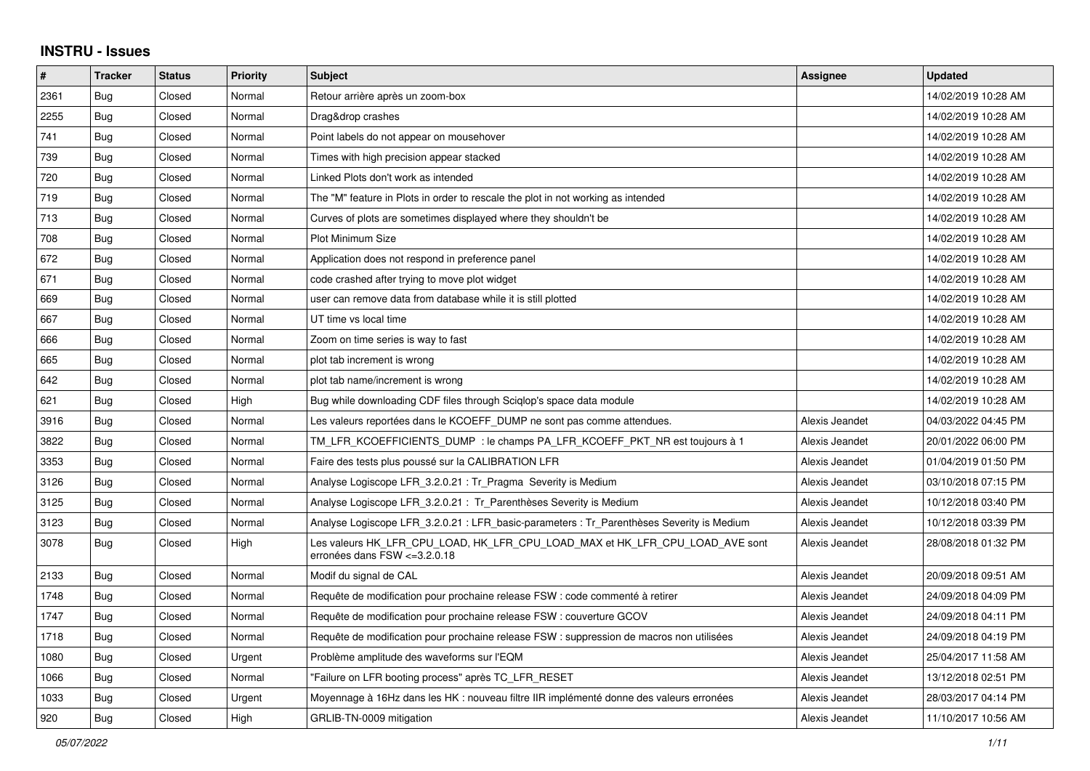## **INSTRU - Issues**

| $\pmb{\#}$ | <b>Tracker</b> | <b>Status</b> | <b>Priority</b> | <b>Subject</b>                                                                                                | Assignee       | <b>Updated</b>      |
|------------|----------------|---------------|-----------------|---------------------------------------------------------------------------------------------------------------|----------------|---------------------|
| 2361       | <b>Bug</b>     | Closed        | Normal          | Retour arrière après un zoom-box                                                                              |                | 14/02/2019 10:28 AM |
| 2255       | <b>Bug</b>     | Closed        | Normal          | Drag&drop crashes                                                                                             |                | 14/02/2019 10:28 AM |
| 741        | Bug            | Closed        | Normal          | Point labels do not appear on mousehover                                                                      |                | 14/02/2019 10:28 AM |
| 739        | <b>Bug</b>     | Closed        | Normal          | Times with high precision appear stacked                                                                      |                | 14/02/2019 10:28 AM |
| 720        | Bug            | Closed        | Normal          | Linked Plots don't work as intended                                                                           |                | 14/02/2019 10:28 AM |
| 719        | Bug            | Closed        | Normal          | The "M" feature in Plots in order to rescale the plot in not working as intended                              |                | 14/02/2019 10:28 AM |
| 713        | Bug            | Closed        | Normal          | Curves of plots are sometimes displayed where they shouldn't be                                               |                | 14/02/2019 10:28 AM |
| 708        | Bug            | Closed        | Normal          | <b>Plot Minimum Size</b>                                                                                      |                | 14/02/2019 10:28 AM |
| 672        | Bug            | Closed        | Normal          | Application does not respond in preference panel                                                              |                | 14/02/2019 10:28 AM |
| 671        | <b>Bug</b>     | Closed        | Normal          | code crashed after trying to move plot widget                                                                 |                | 14/02/2019 10:28 AM |
| 669        | Bug            | Closed        | Normal          | user can remove data from database while it is still plotted                                                  |                | 14/02/2019 10:28 AM |
| 667        | Bug            | Closed        | Normal          | UT time vs local time                                                                                         |                | 14/02/2019 10:28 AM |
| 666        | Bug            | Closed        | Normal          | Zoom on time series is way to fast                                                                            |                | 14/02/2019 10:28 AM |
| 665        | <b>Bug</b>     | Closed        | Normal          | plot tab increment is wrong                                                                                   |                | 14/02/2019 10:28 AM |
| 642        | Bug            | Closed        | Normal          | plot tab name/increment is wrong                                                                              |                | 14/02/2019 10:28 AM |
| 621        | Bug            | Closed        | High            | Bug while downloading CDF files through Sciglop's space data module                                           |                | 14/02/2019 10:28 AM |
| 3916       | <b>Bug</b>     | Closed        | Normal          | Les valeurs reportées dans le KCOEFF DUMP ne sont pas comme attendues.                                        | Alexis Jeandet | 04/03/2022 04:45 PM |
| 3822       | Bug            | Closed        | Normal          | TM LFR KCOEFFICIENTS DUMP : le champs PA LFR KCOEFF PKT NR est toujours à 1                                   | Alexis Jeandet | 20/01/2022 06:00 PM |
| 3353       | <b>Bug</b>     | Closed        | Normal          | Faire des tests plus poussé sur la CALIBRATION LFR                                                            | Alexis Jeandet | 01/04/2019 01:50 PM |
| 3126       | <b>Bug</b>     | Closed        | Normal          | Analyse Logiscope LFR 3.2.0.21 : Tr Pragma Severity is Medium                                                 | Alexis Jeandet | 03/10/2018 07:15 PM |
| 3125       | Bug            | Closed        | Normal          | Analyse Logiscope LFR 3.2.0.21: Tr Parenthèses Severity is Medium                                             | Alexis Jeandet | 10/12/2018 03:40 PM |
| 3123       | Bug            | Closed        | Normal          | Analyse Logiscope LFR 3.2.0.21 : LFR basic-parameters : Tr Parenthèses Severity is Medium                     | Alexis Jeandet | 10/12/2018 03:39 PM |
| 3078       | Bug            | Closed        | High            | Les valeurs HK LFR CPU LOAD, HK LFR CPU LOAD MAX et HK LFR CPU LOAD AVE sont<br>erronées dans FSW <= 3.2.0.18 | Alexis Jeandet | 28/08/2018 01:32 PM |
| 2133       | Bug            | Closed        | Normal          | Modif du signal de CAL                                                                                        | Alexis Jeandet | 20/09/2018 09:51 AM |
| 1748       | Bug            | Closed        | Normal          | Requête de modification pour prochaine release FSW : code commenté à retirer                                  | Alexis Jeandet | 24/09/2018 04:09 PM |
| 1747       | <b>Bug</b>     | Closed        | Normal          | Requête de modification pour prochaine release FSW : couverture GCOV                                          | Alexis Jeandet | 24/09/2018 04:11 PM |
| 1718       | Bug            | Closed        | Normal          | Requête de modification pour prochaine release FSW : suppression de macros non utilisées                      | Alexis Jeandet | 24/09/2018 04:19 PM |
| 1080       | Bug            | Closed        | Urgent          | Problème amplitude des waveforms sur l'EQM                                                                    | Alexis Jeandet | 25/04/2017 11:58 AM |
| 1066       | Bug            | Closed        | Normal          | "Failure on LFR booting process" après TC LFR RESET                                                           | Alexis Jeandet | 13/12/2018 02:51 PM |
| 1033       | Bug            | Closed        | Urgent          | Moyennage à 16Hz dans les HK : nouveau filtre IIR implémenté donne des valeurs erronées                       | Alexis Jeandet | 28/03/2017 04:14 PM |
| 920        | <b>Bug</b>     | Closed        | High            | GRLIB-TN-0009 mitigation                                                                                      | Alexis Jeandet | 11/10/2017 10:56 AM |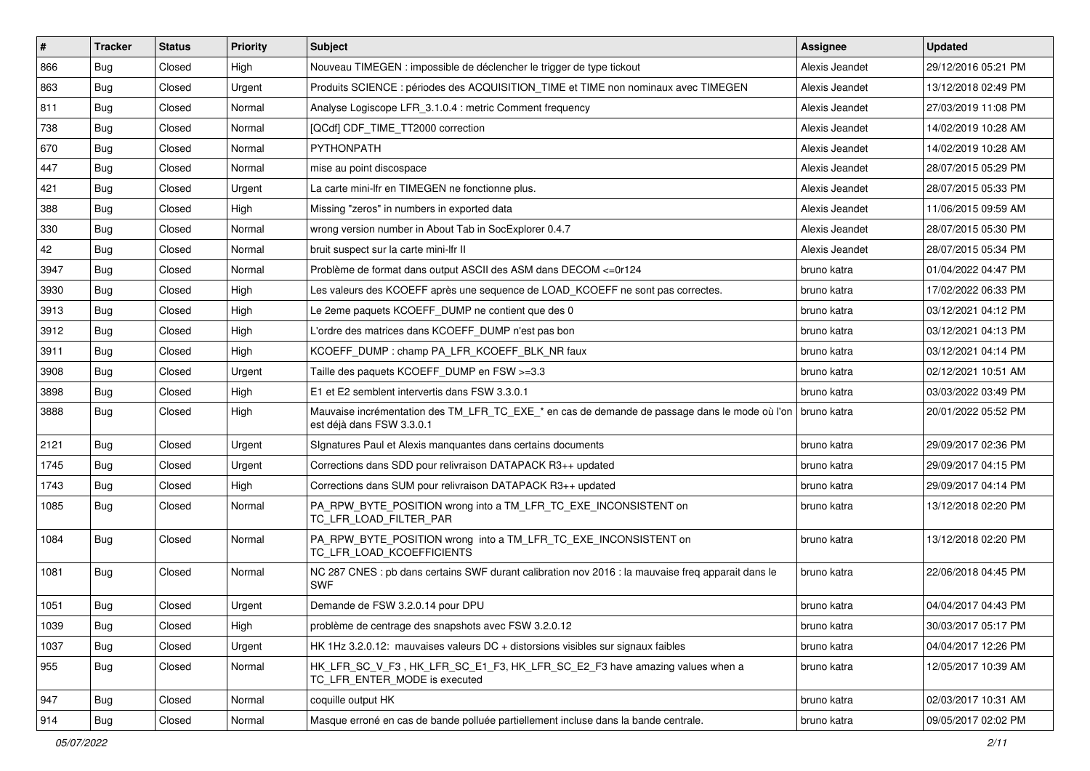| #    | <b>Tracker</b> | <b>Status</b> | <b>Priority</b> | Subject                                                                                                                                  | Assignee       | <b>Updated</b>      |
|------|----------------|---------------|-----------------|------------------------------------------------------------------------------------------------------------------------------------------|----------------|---------------------|
| 866  | Bug            | Closed        | High            | Nouveau TIMEGEN : impossible de déclencher le trigger de type tickout                                                                    | Alexis Jeandet | 29/12/2016 05:21 PM |
| 863  | Bug            | Closed        | Urgent          | Produits SCIENCE : périodes des ACQUISITION TIME et TIME non nominaux avec TIMEGEN                                                       | Alexis Jeandet | 13/12/2018 02:49 PM |
| 811  | Bug            | Closed        | Normal          | Analyse Logiscope LFR 3.1.0.4 : metric Comment frequency                                                                                 | Alexis Jeandet | 27/03/2019 11:08 PM |
| 738  | Bug            | Closed        | Normal          | [QCdf] CDF TIME TT2000 correction                                                                                                        | Alexis Jeandet | 14/02/2019 10:28 AM |
| 670  | Bug            | Closed        | Normal          | PYTHONPATH                                                                                                                               | Alexis Jeandet | 14/02/2019 10:28 AM |
| 447  | Bug            | Closed        | Normal          | mise au point discospace                                                                                                                 | Alexis Jeandet | 28/07/2015 05:29 PM |
| 421  | Bug            | Closed        | Urgent          | La carte mini-Ifr en TIMEGEN ne fonctionne plus.                                                                                         | Alexis Jeandet | 28/07/2015 05:33 PM |
| 388  | Bug            | Closed        | High            | Missing "zeros" in numbers in exported data                                                                                              | Alexis Jeandet | 11/06/2015 09:59 AM |
| 330  | Bug            | Closed        | Normal          | wrong version number in About Tab in SocExplorer 0.4.7                                                                                   | Alexis Jeandet | 28/07/2015 05:30 PM |
| 42   | Bug            | Closed        | Normal          | bruit suspect sur la carte mini-lfr II                                                                                                   | Alexis Jeandet | 28/07/2015 05:34 PM |
| 3947 | Bug            | Closed        | Normal          | Problème de format dans output ASCII des ASM dans DECOM <= 0r124                                                                         | bruno katra    | 01/04/2022 04:47 PM |
| 3930 | Bug            | Closed        | High            | Les valeurs des KCOEFF après une sequence de LOAD KCOEFF ne sont pas correctes.                                                          | bruno katra    | 17/02/2022 06:33 PM |
| 3913 | Bug            | Closed        | High            | Le 2eme paquets KCOEFF_DUMP ne contient que des 0                                                                                        | bruno katra    | 03/12/2021 04:12 PM |
| 3912 | Bug            | Closed        | High            | L'ordre des matrices dans KCOEFF DUMP n'est pas bon                                                                                      | bruno katra    | 03/12/2021 04:13 PM |
| 3911 | Bug            | Closed        | High            | KCOEFF DUMP: champ PA LFR KCOEFF BLK NR faux                                                                                             | bruno katra    | 03/12/2021 04:14 PM |
| 3908 | Bug            | Closed        | Urgent          | Taille des paquets KCOEFF DUMP en FSW >=3.3                                                                                              | bruno katra    | 02/12/2021 10:51 AM |
| 3898 | Bug            | Closed        | High            | E1 et E2 semblent intervertis dans FSW 3.3.0.1                                                                                           | bruno katra    | 03/03/2022 03:49 PM |
| 3888 | Bug            | Closed        | High            | Mauvaise incrémentation des TM LFR TC EXE * en cas de demande de passage dans le mode où l'on   bruno katra<br>est déjà dans FSW 3.3.0.1 |                | 20/01/2022 05:52 PM |
| 2121 | Bug            | Closed        | Urgent          | Signatures Paul et Alexis manquantes dans certains documents                                                                             | bruno katra    | 29/09/2017 02:36 PM |
| 1745 | Bug            | Closed        | Urgent          | Corrections dans SDD pour relivraison DATAPACK R3++ updated                                                                              | bruno katra    | 29/09/2017 04:15 PM |
| 1743 | Bug            | Closed        | High            | Corrections dans SUM pour relivraison DATAPACK R3++ updated                                                                              | bruno katra    | 29/09/2017 04:14 PM |
| 1085 | Bug            | Closed        | Normal          | PA_RPW_BYTE_POSITION wrong into a TM_LFR_TC_EXE_INCONSISTENT on<br>TC LFR LOAD FILTER PAR                                                | bruno katra    | 13/12/2018 02:20 PM |
| 1084 | Bug            | Closed        | Normal          | PA_RPW_BYTE_POSITION wrong into a TM_LFR_TC_EXE_INCONSISTENT on<br>TC_LFR_LOAD_KCOEFFICIENTS                                             | bruno katra    | 13/12/2018 02:20 PM |
| 1081 | Bug            | Closed        | Normal          | NC 287 CNES : pb dans certains SWF durant calibration nov 2016 : la mauvaise freq apparait dans le<br><b>SWF</b>                         | bruno katra    | 22/06/2018 04:45 PM |
| 1051 | Bug            | Closed        | Urgent          | Demande de FSW 3.2.0.14 pour DPU                                                                                                         | bruno katra    | 04/04/2017 04:43 PM |
| 1039 | Bug            | Closed        | High            | problème de centrage des snapshots avec FSW 3.2.0.12                                                                                     | bruno katra    | 30/03/2017 05:17 PM |
| 1037 | Bug            | Closed        | Urgent          | HK 1Hz 3.2.0.12: mauvaises valeurs DC + distorsions visibles sur signaux faibles                                                         | bruno katra    | 04/04/2017 12:26 PM |
| 955  | Bug            | Closed        | Normal          | HK_LFR_SC_V_F3, HK_LFR_SC_E1_F3, HK_LFR_SC_E2_F3 have amazing values when a<br>TC_LFR_ENTER_MODE is executed                             | bruno katra    | 12/05/2017 10:39 AM |
| 947  | Bug            | Closed        | Normal          | coquille output HK                                                                                                                       | bruno katra    | 02/03/2017 10:31 AM |
| 914  | <b>Bug</b>     | Closed        | Normal          | Masque erroné en cas de bande polluée partiellement incluse dans la bande centrale.                                                      | bruno katra    | 09/05/2017 02:02 PM |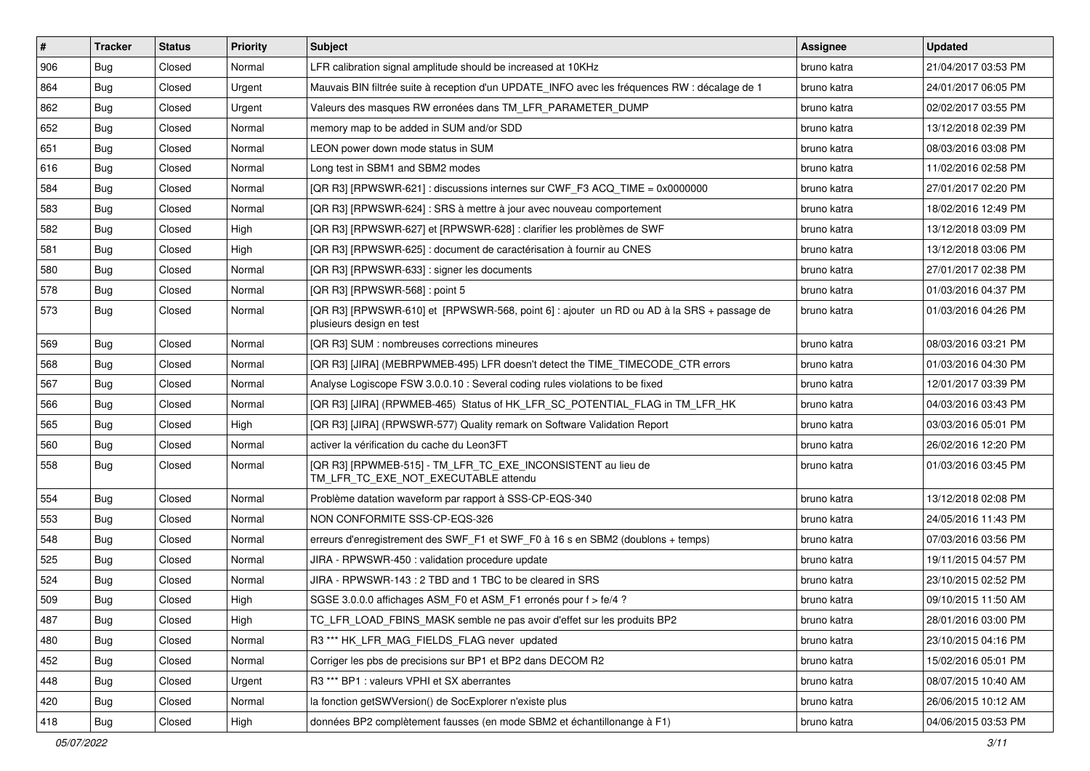| #   | <b>Tracker</b> | <b>Status</b> | Priority | Subject                                                                                                               | Assignee    | <b>Updated</b>      |
|-----|----------------|---------------|----------|-----------------------------------------------------------------------------------------------------------------------|-------------|---------------------|
| 906 | Bug            | Closed        | Normal   | LFR calibration signal amplitude should be increased at 10KHz                                                         | bruno katra | 21/04/2017 03:53 PM |
| 864 | Bug            | Closed        | Urgent   | Mauvais BIN filtrée suite à reception d'un UPDATE_INFO avec les fréquences RW : décalage de 1                         | bruno katra | 24/01/2017 06:05 PM |
| 862 | Bug            | Closed        | Urgent   | Valeurs des masques RW erronées dans TM LFR PARAMETER DUMP                                                            | bruno katra | 02/02/2017 03:55 PM |
| 652 | Bug            | Closed        | Normal   | memory map to be added in SUM and/or SDD                                                                              | bruno katra | 13/12/2018 02:39 PM |
| 651 | Bug            | Closed        | Normal   | LEON power down mode status in SUM                                                                                    | bruno katra | 08/03/2016 03:08 PM |
| 616 | <b>Bug</b>     | Closed        | Normal   | Long test in SBM1 and SBM2 modes                                                                                      | bruno katra | 11/02/2016 02:58 PM |
| 584 | Bug            | Closed        | Normal   | [QR R3] [RPWSWR-621] : discussions internes sur CWF_F3 ACQ_TIME = 0x0000000                                           | bruno katra | 27/01/2017 02:20 PM |
| 583 | Bug            | Closed        | Normal   | [QR R3] [RPWSWR-624] : SRS à mettre à jour avec nouveau comportement                                                  | bruno katra | 18/02/2016 12:49 PM |
| 582 | Bug            | Closed        | High     | [QR R3] [RPWSWR-627] et [RPWSWR-628] : clarifier les problèmes de SWF                                                 | bruno katra | 13/12/2018 03:09 PM |
| 581 | Bug            | Closed        | High     | [QR R3] [RPWSWR-625] : document de caractérisation à fournir au CNES                                                  | bruno katra | 13/12/2018 03:06 PM |
| 580 | Bug            | Closed        | Normal   | [QR R3] [RPWSWR-633] : signer les documents                                                                           | bruno katra | 27/01/2017 02:38 PM |
| 578 | Bug            | Closed        | Normal   | [QR R3] [RPWSWR-568] : point 5                                                                                        | bruno katra | 01/03/2016 04:37 PM |
| 573 | <b>Bug</b>     | Closed        | Normal   | [QR R3] [RPWSWR-610] et [RPWSWR-568, point 6] : ajouter un RD ou AD à la SRS + passage de<br>plusieurs design en test | bruno katra | 01/03/2016 04:26 PM |
| 569 | Bug            | Closed        | Normal   | [QR R3] SUM : nombreuses corrections mineures                                                                         | bruno katra | 08/03/2016 03:21 PM |
| 568 | Bug            | Closed        | Normal   | [QR R3] [JIRA] (MEBRPWMEB-495) LFR doesn't detect the TIME TIMECODE CTR errors                                        | bruno katra | 01/03/2016 04:30 PM |
| 567 | Bug            | Closed        | Normal   | Analyse Logiscope FSW 3.0.0.10 : Several coding rules violations to be fixed                                          | bruno katra | 12/01/2017 03:39 PM |
| 566 | Bug            | Closed        | Normal   | [QR R3] [JIRA] (RPWMEB-465) Status of HK LFR SC POTENTIAL FLAG in TM LFR HK                                           | bruno katra | 04/03/2016 03:43 PM |
| 565 | <b>Bug</b>     | Closed        | High     | [QR R3] [JIRA] (RPWSWR-577) Quality remark on Software Validation Report                                              | bruno katra | 03/03/2016 05:01 PM |
| 560 | Bug            | Closed        | Normal   | activer la vérification du cache du Leon3FT                                                                           | bruno katra | 26/02/2016 12:20 PM |
| 558 | <b>Bug</b>     | Closed        | Normal   | [QR R3] [RPWMEB-515] - TM_LFR_TC_EXE_INCONSISTENT au lieu de<br>TM_LFR_TC_EXE_NOT_EXECUTABLE attendu                  | bruno katra | 01/03/2016 03:45 PM |
| 554 | Bug            | Closed        | Normal   | Problème datation waveform par rapport à SSS-CP-EQS-340                                                               | bruno katra | 13/12/2018 02:08 PM |
| 553 | <b>Bug</b>     | Closed        | Normal   | NON CONFORMITE SSS-CP-EQS-326                                                                                         | bruno katra | 24/05/2016 11:43 PM |
| 548 | Bug            | Closed        | Normal   | erreurs d'enregistrement des SWF_F1 et SWF_F0 à 16 s en SBM2 (doublons + temps)                                       | bruno katra | 07/03/2016 03:56 PM |
| 525 | Bug            | Closed        | Normal   | JIRA - RPWSWR-450 : validation procedure update                                                                       | bruno katra | 19/11/2015 04:57 PM |
| 524 | <b>Bug</b>     | Closed        | Normal   | JIRA - RPWSWR-143 : 2 TBD and 1 TBC to be cleared in SRS                                                              | bruno katra | 23/10/2015 02:52 PM |
| 509 | Bug            | Closed        | High     | SGSE 3.0.0.0 affichages ASM F0 et ASM F1 erronés pour f > fe/4 ?                                                      | bruno katra | 09/10/2015 11:50 AM |
| 487 | Bug            | Closed        | High     | TC_LFR_LOAD_FBINS_MASK semble ne pas avoir d'effet sur les produits BP2                                               | bruno katra | 28/01/2016 03:00 PM |
| 480 | <b>Bug</b>     | Closed        | Normal   | R3 *** HK_LFR_MAG_FIELDS_FLAG never_updated                                                                           | bruno katra | 23/10/2015 04:16 PM |
| 452 | Bug            | Closed        | Normal   | Corriger les pbs de precisions sur BP1 et BP2 dans DECOM R2                                                           | bruno katra | 15/02/2016 05:01 PM |
| 448 | <b>Bug</b>     | Closed        | Urgent   | R3 *** BP1 : valeurs VPHI et SX aberrantes                                                                            | bruno katra | 08/07/2015 10:40 AM |
| 420 | Bug            | Closed        | Normal   | la fonction getSWVersion() de SocExplorer n'existe plus                                                               | bruno katra | 26/06/2015 10:12 AM |
| 418 | <b>Bug</b>     | Closed        | High     | données BP2 complètement fausses (en mode SBM2 et échantillonange à F1)                                               | bruno katra | 04/06/2015 03:53 PM |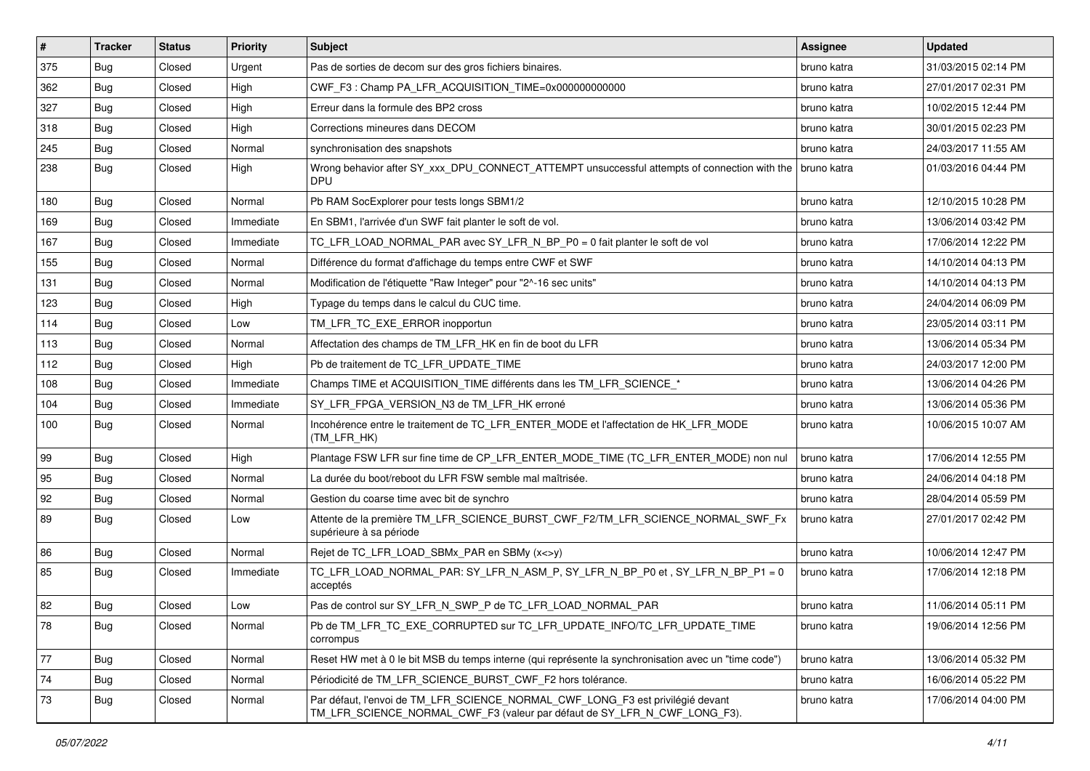| $\vert$ # | <b>Tracker</b> | <b>Status</b> | <b>Priority</b> | <b>Subject</b>                                                                                                                                              | <b>Assignee</b> | <b>Updated</b>      |
|-----------|----------------|---------------|-----------------|-------------------------------------------------------------------------------------------------------------------------------------------------------------|-----------------|---------------------|
| 375       | Bug            | Closed        | Urgent          | Pas de sorties de decom sur des gros fichiers binaires.                                                                                                     | bruno katra     | 31/03/2015 02:14 PM |
| 362       | Bug            | Closed        | High            | CWF F3: Champ PA LFR ACQUISITION TIME=0x000000000000                                                                                                        | bruno katra     | 27/01/2017 02:31 PM |
| 327       | Bug            | Closed        | High            | Erreur dans la formule des BP2 cross                                                                                                                        | bruno katra     | 10/02/2015 12:44 PM |
| 318       | Bug            | Closed        | High            | Corrections mineures dans DECOM                                                                                                                             | bruno katra     | 30/01/2015 02:23 PM |
| 245       | Bug            | Closed        | Normal          | synchronisation des snapshots                                                                                                                               | bruno katra     | 24/03/2017 11:55 AM |
| 238       | <b>Bug</b>     | Closed        | High            | Wrong behavior after SY_xxx_DPU_CONNECT_ATTEMPT unsuccessful attempts of connection with the   bruno katra<br><b>DPU</b>                                    |                 | 01/03/2016 04:44 PM |
| 180       | Bug            | Closed        | Normal          | Pb RAM SocExplorer pour tests longs SBM1/2                                                                                                                  | bruno katra     | 12/10/2015 10:28 PM |
| 169       | <b>Bug</b>     | Closed        | Immediate       | En SBM1, l'arrivée d'un SWF fait planter le soft de vol.                                                                                                    | bruno katra     | 13/06/2014 03:42 PM |
| 167       | Bug            | Closed        | Immediate       | TC_LFR_LOAD_NORMAL_PAR avec SY_LFR_N_BP_P0 = 0 fait planter le soft de vol                                                                                  | bruno katra     | 17/06/2014 12:22 PM |
| 155       | Bug            | Closed        | Normal          | Différence du format d'affichage du temps entre CWF et SWF                                                                                                  | bruno katra     | 14/10/2014 04:13 PM |
| 131       | Bug            | Closed        | Normal          | Modification de l'étiquette "Raw Integer" pour "2^-16 sec units"                                                                                            | bruno katra     | 14/10/2014 04:13 PM |
| 123       | Bug            | Closed        | High            | Typage du temps dans le calcul du CUC time.                                                                                                                 | bruno katra     | 24/04/2014 06:09 PM |
| 114       | Bug            | Closed        | Low             | TM LFR TC EXE ERROR inopportun                                                                                                                              | bruno katra     | 23/05/2014 03:11 PM |
| 113       | Bug            | Closed        | Normal          | Affectation des champs de TM_LFR_HK en fin de boot du LFR                                                                                                   | bruno katra     | 13/06/2014 05:34 PM |
| 112       | Bug            | Closed        | High            | Pb de traitement de TC_LFR_UPDATE_TIME                                                                                                                      | bruno katra     | 24/03/2017 12:00 PM |
| 108       | Bug            | Closed        | Immediate       | Champs TIME et ACQUISITION_TIME différents dans les TM_LFR_SCIENCE_*                                                                                        | bruno katra     | 13/06/2014 04:26 PM |
| 104       | Bug            | Closed        | Immediate       | SY_LFR_FPGA_VERSION_N3 de TM_LFR_HK erroné                                                                                                                  | bruno katra     | 13/06/2014 05:36 PM |
| 100       | <b>Bug</b>     | Closed        | Normal          | Incohérence entre le traitement de TC_LFR_ENTER_MODE et l'affectation de HK_LFR_MODE<br>(TM_LFR_HK)                                                         | bruno katra     | 10/06/2015 10:07 AM |
| 99        | Bug            | Closed        | High            | Plantage FSW LFR sur fine time de CP_LFR_ENTER_MODE_TIME (TC_LFR_ENTER_MODE) non nul                                                                        | bruno katra     | 17/06/2014 12:55 PM |
| 95        | Bug            | Closed        | Normal          | La durée du boot/reboot du LFR FSW semble mal maîtrisée.                                                                                                    | bruno katra     | 24/06/2014 04:18 PM |
| 92        | Bug            | Closed        | Normal          | Gestion du coarse time avec bit de synchro                                                                                                                  | bruno katra     | 28/04/2014 05:59 PM |
| 89        | Bug            | Closed        | Low             | Attente de la première TM_LFR_SCIENCE_BURST_CWF_F2/TM_LFR_SCIENCE_NORMAL_SWF_Fx<br>supérieure à sa période                                                  | bruno katra     | 27/01/2017 02:42 PM |
| 86        | Bug            | Closed        | Normal          | Rejet de TC_LFR_LOAD_SBMx_PAR en SBMy (x<>y)                                                                                                                | bruno katra     | 10/06/2014 12:47 PM |
| 85        | <b>Bug</b>     | Closed        | Immediate       | TC_LFR_LOAD_NORMAL_PAR: SY_LFR_N_ASM_P, SY_LFR_N_BP_P0 et , SY_LFR_N_BP_P1 = 0<br>acceptés                                                                  | bruno katra     | 17/06/2014 12:18 PM |
| 82        | Bug            | Closed        | Low             | Pas de control sur SY_LFR_N_SWP_P de TC_LFR_LOAD_NORMAL_PAR                                                                                                 | bruno katra     | 11/06/2014 05:11 PM |
| 78        | <b>Bug</b>     | Closed        | Normal          | Pb de TM_LFR_TC_EXE_CORRUPTED sur TC_LFR_UPDATE_INFO/TC_LFR_UPDATE_TIME<br>corrompus                                                                        | bruno katra     | 19/06/2014 12:56 PM |
| 77        | Bug            | Closed        | Normal          | Reset HW met à 0 le bit MSB du temps interne (qui représente la synchronisation avec un "time code")                                                        | bruno katra     | 13/06/2014 05:32 PM |
| 74        | Bug            | Closed        | Normal          | Périodicité de TM_LFR_SCIENCE_BURST_CWF_F2 hors tolérance.                                                                                                  | bruno katra     | 16/06/2014 05:22 PM |
| 73        | Bug            | Closed        | Normal          | Par défaut, l'envoi de TM_LFR_SCIENCE_NORMAL_CWF_LONG_F3 est privilégié devant<br>TM_LFR_SCIENCE_NORMAL_CWF_F3 (valeur par défaut de SY_LFR_N_CWF_LONG_F3). | bruno katra     | 17/06/2014 04:00 PM |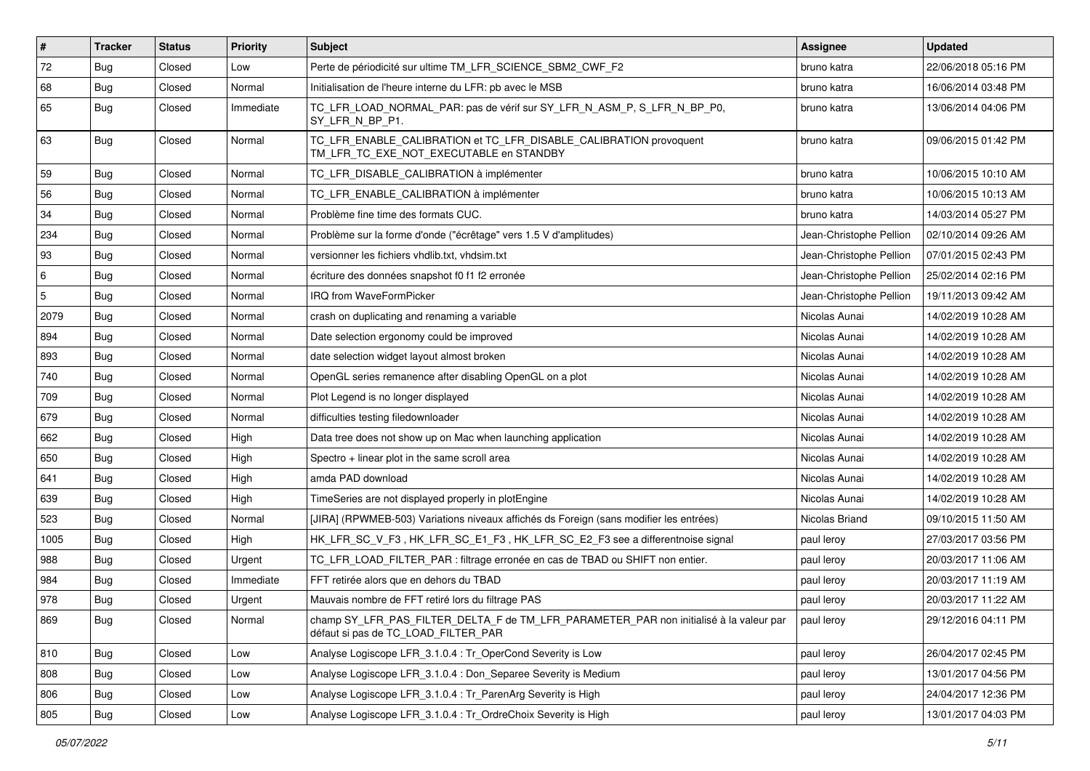| $\vert$ # | <b>Tracker</b> | <b>Status</b> | <b>Priority</b> | Subject                                                                                                                       | Assignee                | <b>Updated</b>      |
|-----------|----------------|---------------|-----------------|-------------------------------------------------------------------------------------------------------------------------------|-------------------------|---------------------|
| 72        | Bug            | Closed        | Low             | Perte de périodicité sur ultime TM LFR SCIENCE SBM2 CWF F2                                                                    | bruno katra             | 22/06/2018 05:16 PM |
| 68        | Bug            | Closed        | Normal          | Initialisation de l'heure interne du LFR: pb avec le MSB                                                                      | bruno katra             | 16/06/2014 03:48 PM |
| 65        | Bug            | Closed        | Immediate       | TC LFR LOAD NORMAL PAR: pas de vérif sur SY LFR N ASM P, S LFR N BP P0,<br>SY_LFR_N_BP_P1.                                    | bruno katra             | 13/06/2014 04:06 PM |
| 63        | Bug            | Closed        | Normal          | TC_LFR_ENABLE_CALIBRATION et TC_LFR_DISABLE_CALIBRATION provoquent<br>TM_LFR_TC_EXE_NOT_EXECUTABLE en STANDBY                 | bruno katra             | 09/06/2015 01:42 PM |
| 59        | Bug            | Closed        | Normal          | TC LFR DISABLE CALIBRATION à implémenter                                                                                      | bruno katra             | 10/06/2015 10:10 AM |
| 56        | Bug            | Closed        | Normal          | TC_LFR_ENABLE_CALIBRATION à implémenter                                                                                       | bruno katra             | 10/06/2015 10:13 AM |
| 34        | Bug            | Closed        | Normal          | Problème fine time des formats CUC.                                                                                           | bruno katra             | 14/03/2014 05:27 PM |
| 234       | Bug            | Closed        | Normal          | Problème sur la forme d'onde ("écrêtage" vers 1.5 V d'amplitudes)                                                             | Jean-Christophe Pellion | 02/10/2014 09:26 AM |
| 93        | <b>Bug</b>     | Closed        | Normal          | versionner les fichiers vhdlib.txt, vhdsim.txt                                                                                | Jean-Christophe Pellion | 07/01/2015 02:43 PM |
| 6         | Bug            | Closed        | Normal          | écriture des données snapshot f0 f1 f2 erronée                                                                                | Jean-Christophe Pellion | 25/02/2014 02:16 PM |
| 5         | Bug            | Closed        | Normal          | IRQ from WaveFormPicker                                                                                                       | Jean-Christophe Pellion | 19/11/2013 09:42 AM |
| 2079      | Bug            | Closed        | Normal          | crash on duplicating and renaming a variable                                                                                  | Nicolas Aunai           | 14/02/2019 10:28 AM |
| 894       | Bug            | Closed        | Normal          | Date selection ergonomy could be improved                                                                                     | Nicolas Aunai           | 14/02/2019 10:28 AM |
| 893       | Bug            | Closed        | Normal          | date selection widget layout almost broken                                                                                    | Nicolas Aunai           | 14/02/2019 10:28 AM |
| 740       | Bug            | Closed        | Normal          | OpenGL series remanence after disabling OpenGL on a plot                                                                      | Nicolas Aunai           | 14/02/2019 10:28 AM |
| 709       | Bug            | Closed        | Normal          | Plot Legend is no longer displayed                                                                                            | Nicolas Aunai           | 14/02/2019 10:28 AM |
| 679       | Bug            | Closed        | Normal          | difficulties testing filedownloader                                                                                           | Nicolas Aunai           | 14/02/2019 10:28 AM |
| 662       | Bug            | Closed        | High            | Data tree does not show up on Mac when launching application                                                                  | Nicolas Aunai           | 14/02/2019 10:28 AM |
| 650       | Bug            | Closed        | High            | Spectro + linear plot in the same scroll area                                                                                 | Nicolas Aunai           | 14/02/2019 10:28 AM |
| 641       | Bug            | Closed        | High            | amda PAD download                                                                                                             | Nicolas Aunai           | 14/02/2019 10:28 AM |
| 639       | Bug            | Closed        | High            | TimeSeries are not displayed properly in plotEngine                                                                           | Nicolas Aunai           | 14/02/2019 10:28 AM |
| 523       | Bug            | Closed        | Normal          | [JIRA] (RPWMEB-503) Variations niveaux affichés ds Foreign (sans modifier les entrées)                                        | Nicolas Briand          | 09/10/2015 11:50 AM |
| 1005      | <b>Bug</b>     | Closed        | High            | HK LFR SC V F3, HK LFR SC E1 F3, HK LFR SC E2 F3 see a differentnoise signal                                                  | paul leroy              | 27/03/2017 03:56 PM |
| 988       | Bug            | Closed        | Urgent          | TC_LFR_LOAD_FILTER_PAR : filtrage erronée en cas de TBAD ou SHIFT non entier.                                                 | paul leroy              | 20/03/2017 11:06 AM |
| 984       | <b>Bug</b>     | Closed        | Immediate       | FFT retirée alors que en dehors du TBAD                                                                                       | paul leroy              | 20/03/2017 11:19 AM |
| 978       | Bug            | Closed        | Urgent          | Mauvais nombre de FFT retiré lors du filtrage PAS                                                                             | paul leroy              | 20/03/2017 11:22 AM |
| 869       | Bug            | Closed        | Normal          | champ SY_LFR_PAS_FILTER_DELTA_F de TM_LFR_PARAMETER_PAR non initialisé à la valeur par<br>défaut si pas de TC LOAD FILTER PAR | paul leroy              | 29/12/2016 04:11 PM |
| 810       | Bug            | Closed        | Low             | Analyse Logiscope LFR 3.1.0.4 : Tr OperCond Severity is Low                                                                   | paul leroy              | 26/04/2017 02:45 PM |
| 808       | Bug            | Closed        | Low             | Analyse Logiscope LFR 3.1.0.4 : Don Separee Severity is Medium                                                                | paul leroy              | 13/01/2017 04:56 PM |
| 806       | Bug            | Closed        | Low             | Analyse Logiscope LFR_3.1.0.4 : Tr_ParenArg Severity is High                                                                  | paul leroy              | 24/04/2017 12:36 PM |
| 805       | Bug            | Closed        | Low             | Analyse Logiscope LFR_3.1.0.4 : Tr_OrdreChoix Severity is High                                                                | paul leroy              | 13/01/2017 04:03 PM |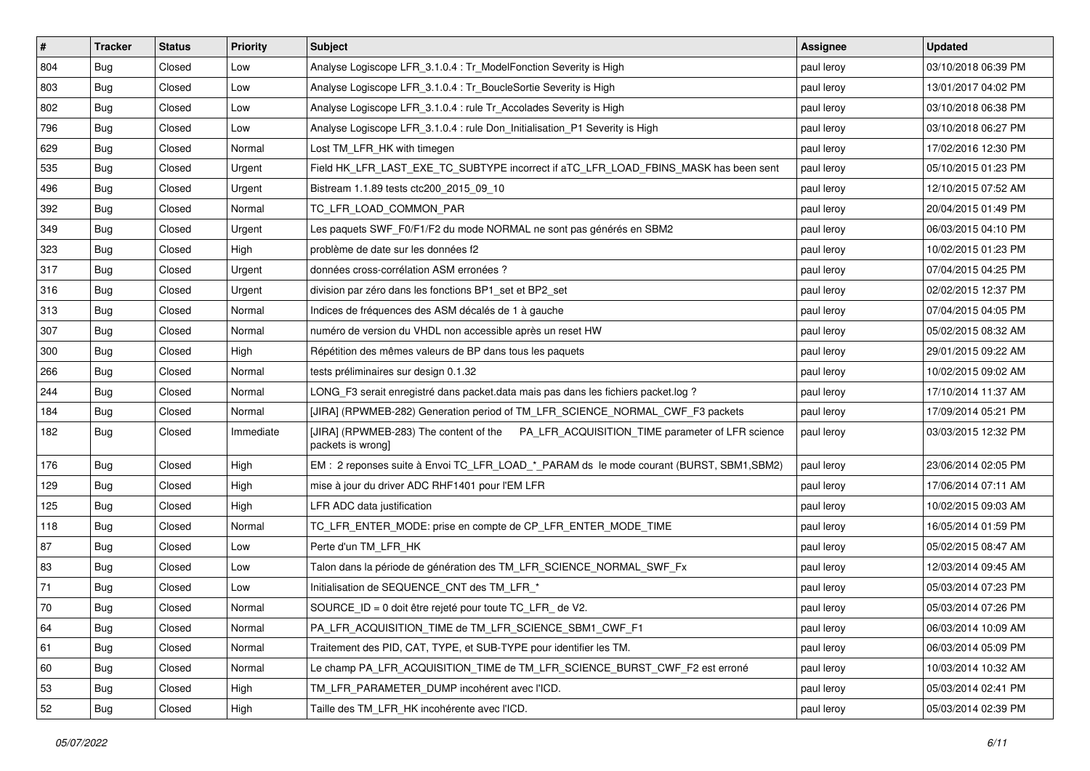| $\vert$ # | <b>Tracker</b> | <b>Status</b> | <b>Priority</b> | Subject                                                                                                      | Assignee   | <b>Updated</b>      |
|-----------|----------------|---------------|-----------------|--------------------------------------------------------------------------------------------------------------|------------|---------------------|
| 804       | Bug            | Closed        | Low             | Analyse Logiscope LFR 3.1.0.4 : Tr ModelFonction Severity is High                                            | paul leroy | 03/10/2018 06:39 PM |
| 803       | Bug            | Closed        | Low             | Analyse Logiscope LFR_3.1.0.4 : Tr_BoucleSortie Severity is High                                             | paul leroy | 13/01/2017 04:02 PM |
| 802       | Bug            | Closed        | Low             | Analyse Logiscope LFR 3.1.0.4 : rule Tr Accolades Severity is High                                           | paul leroy | 03/10/2018 06:38 PM |
| 796       | Bug            | Closed        | Low             | Analyse Logiscope LFR 3.1.0.4 : rule Don Initialisation P1 Severity is High                                  | paul leroy | 03/10/2018 06:27 PM |
| 629       | Bug            | Closed        | Normal          | Lost TM_LFR_HK with timegen                                                                                  | paul leroy | 17/02/2016 12:30 PM |
| 535       | Bug            | Closed        | Urgent          | Field HK_LFR_LAST_EXE_TC_SUBTYPE incorrect if aTC_LFR_LOAD_FBINS_MASK has been sent                          | paul leroy | 05/10/2015 01:23 PM |
| 496       | Bug            | Closed        | Urgent          | Bistream 1.1.89 tests ctc200 2015 09 10                                                                      | paul leroy | 12/10/2015 07:52 AM |
| 392       | Bug            | Closed        | Normal          | TC_LFR_LOAD_COMMON_PAR                                                                                       | paul leroy | 20/04/2015 01:49 PM |
| 349       | Bug            | Closed        | Urgent          | Les paquets SWF_F0/F1/F2 du mode NORMAL ne sont pas générés en SBM2                                          | paul leroy | 06/03/2015 04:10 PM |
| 323       | Bug            | Closed        | High            | problème de date sur les données f2                                                                          | paul leroy | 10/02/2015 01:23 PM |
| 317       | Bug            | Closed        | Urgent          | données cross-corrélation ASM erronées ?                                                                     | paul leroy | 07/04/2015 04:25 PM |
| 316       | Bug            | Closed        | Urgent          | division par zéro dans les fonctions BP1 set et BP2 set                                                      | paul leroy | 02/02/2015 12:37 PM |
| 313       | Bug            | Closed        | Normal          | Indices de fréquences des ASM décalés de 1 à gauche                                                          | paul leroy | 07/04/2015 04:05 PM |
| 307       | <b>Bug</b>     | Closed        | Normal          | numéro de version du VHDL non accessible après un reset HW                                                   | paul leroy | 05/02/2015 08:32 AM |
| 300       | Bug            | Closed        | High            | Répétition des mêmes valeurs de BP dans tous les paquets                                                     | paul leroy | 29/01/2015 09:22 AM |
| 266       | Bug            | Closed        | Normal          | tests préliminaires sur design 0.1.32                                                                        | paul leroy | 10/02/2015 09:02 AM |
| 244       | Bug            | Closed        | Normal          | LONG_F3 serait enregistré dans packet data mais pas dans les fichiers packet log ?                           | paul leroy | 17/10/2014 11:37 AM |
| 184       | Bug            | Closed        | Normal          | [JIRA] (RPWMEB-282) Generation period of TM_LFR_SCIENCE_NORMAL_CWF_F3 packets                                | paul leroy | 17/09/2014 05:21 PM |
| 182       | Bug            | Closed        | Immediate       | [JIRA] (RPWMEB-283) The content of the PA_LFR_ACQUISITION_TIME parameter of LFR science<br>packets is wrong] | paul leroy | 03/03/2015 12:32 PM |
| 176       | Bug            | Closed        | High            | EM: 2 reponses suite à Envoi TC_LFR_LOAD_*_PARAM ds le mode courant (BURST, SBM1,SBM2)                       | paul leroy | 23/06/2014 02:05 PM |
| 129       | <b>Bug</b>     | Closed        | High            | mise à jour du driver ADC RHF1401 pour l'EM LFR                                                              | paul leroy | 17/06/2014 07:11 AM |
| 125       | Bug            | Closed        | High            | LFR ADC data justification                                                                                   | paul leroy | 10/02/2015 09:03 AM |
| 118       | Bug            | Closed        | Normal          | TC LFR ENTER MODE: prise en compte de CP LFR ENTER MODE TIME                                                 | paul leroy | 16/05/2014 01:59 PM |
| 87        | <b>Bug</b>     | Closed        | Low             | Perte d'un TM LFR HK                                                                                         | paul leroy | 05/02/2015 08:47 AM |
| 83        | Bug            | Closed        | Low             | Talon dans la période de génération des TM_LFR_SCIENCE_NORMAL_SWF_Fx                                         | paul leroy | 12/03/2014 09:45 AM |
| 71        | <b>Bug</b>     | Closed        | Low             | Initialisation de SEQUENCE CNT des TM LFR *                                                                  | paul leroy | 05/03/2014 07:23 PM |
| 70        | <b>Bug</b>     | Closed        | Normal          | SOURCE ID = 0 doit être rejeté pour toute TC LFR de V2.                                                      | paul leroy | 05/03/2014 07:26 PM |
| 64        | <b>Bug</b>     | Closed        | Normal          | PA_LFR_ACQUISITION_TIME de TM_LFR_SCIENCE_SBM1_CWF_F1                                                        | paul leroy | 06/03/2014 10:09 AM |
| 61        | Bug            | Closed        | Normal          | Traitement des PID, CAT, TYPE, et SUB-TYPE pour identifier les TM.                                           | paul leroy | 06/03/2014 05:09 PM |
| 60        | Bug            | Closed        | Normal          | Le champ PA_LFR_ACQUISITION_TIME de TM_LFR_SCIENCE_BURST_CWF_F2 est erroné                                   | paul leroy | 10/03/2014 10:32 AM |
| 53        | Bug            | Closed        | High            | TM_LFR_PARAMETER_DUMP incohérent avec l'ICD.                                                                 | paul leroy | 05/03/2014 02:41 PM |
| 52        | <b>Bug</b>     | Closed        | High            | Taille des TM_LFR_HK incohérente avec l'ICD.                                                                 | paul leroy | 05/03/2014 02:39 PM |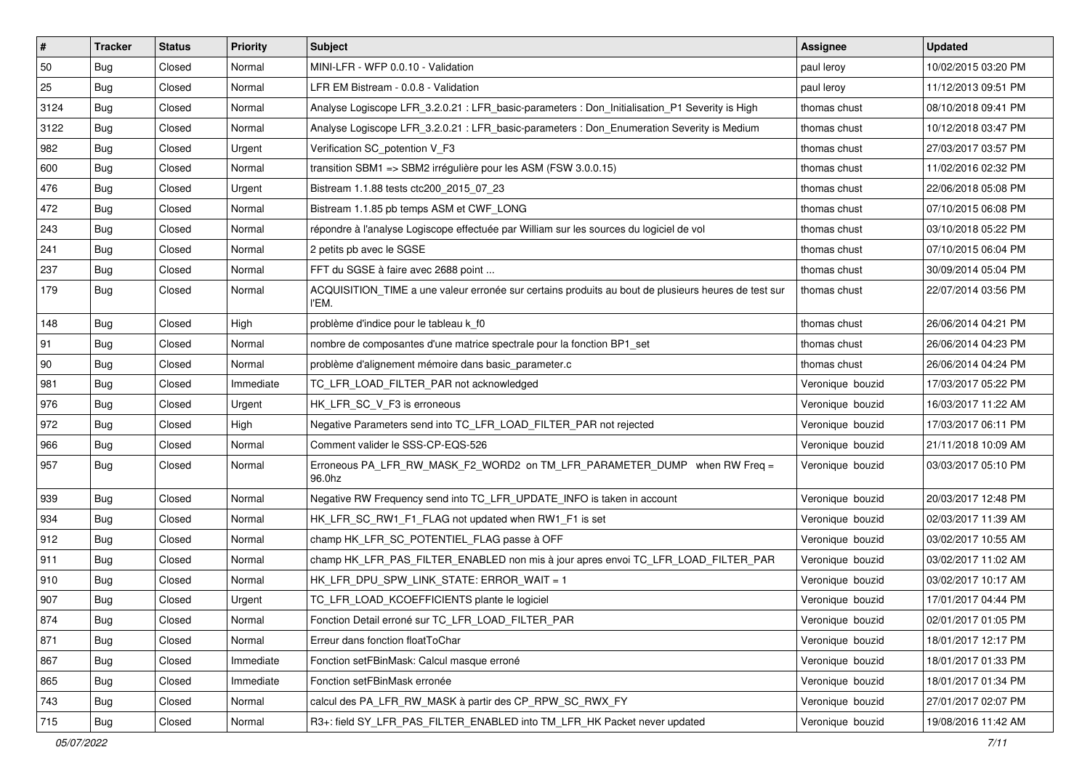| $\vert$ # | <b>Tracker</b> | <b>Status</b> | Priority  | <b>Subject</b>                                                                                               | Assignee         | <b>Updated</b>      |
|-----------|----------------|---------------|-----------|--------------------------------------------------------------------------------------------------------------|------------------|---------------------|
| 50        | <b>Bug</b>     | Closed        | Normal    | MINI-LFR - WFP 0.0.10 - Validation                                                                           | paul leroy       | 10/02/2015 03:20 PM |
| 25        | Bug            | Closed        | Normal    | LFR EM Bistream - 0.0.8 - Validation                                                                         | paul leroy       | 11/12/2013 09:51 PM |
| 3124      | <b>Bug</b>     | Closed        | Normal    | Analyse Logiscope LFR 3.2.0.21 : LFR basic-parameters : Don Initialisation P1 Severity is High               | thomas chust     | 08/10/2018 09:41 PM |
| 3122      | Bug            | Closed        | Normal    | Analyse Logiscope LFR 3.2.0.21 : LFR basic-parameters : Don Enumeration Severity is Medium                   | thomas chust     | 10/12/2018 03:47 PM |
| 982       | <b>Bug</b>     | Closed        | Urgent    | Verification SC_potention V_F3                                                                               | thomas chust     | 27/03/2017 03:57 PM |
| 600       | Bug            | Closed        | Normal    | transition SBM1 => SBM2 irrégulière pour les ASM (FSW 3.0.0.15)                                              | thomas chust     | 11/02/2016 02:32 PM |
| 476       | Bug            | Closed        | Urgent    | Bistream 1.1.88 tests ctc200 2015 07 23                                                                      | thomas chust     | 22/06/2018 05:08 PM |
| 472       | <b>Bug</b>     | Closed        | Normal    | Bistream 1.1.85 pb temps ASM et CWF_LONG                                                                     | thomas chust     | 07/10/2015 06:08 PM |
| 243       | Bug            | Closed        | Normal    | répondre à l'analyse Logiscope effectuée par William sur les sources du logiciel de vol                      | thomas chust     | 03/10/2018 05:22 PM |
| 241       | Bug            | Closed        | Normal    | 2 petits pb avec le SGSE                                                                                     | thomas chust     | 07/10/2015 06:04 PM |
| 237       | <b>Bug</b>     | Closed        | Normal    | FFT du SGSE à faire avec 2688 point                                                                          | thomas chust     | 30/09/2014 05:04 PM |
| 179       | Bug            | Closed        | Normal    | ACQUISITION_TIME a une valeur erronée sur certains produits au bout de plusieurs heures de test sur<br>l'EM. | thomas chust     | 22/07/2014 03:56 PM |
| 148       | <b>Bug</b>     | Closed        | High      | problème d'indice pour le tableau k f0                                                                       | thomas chust     | 26/06/2014 04:21 PM |
| 91        | Bug            | Closed        | Normal    | nombre de composantes d'une matrice spectrale pour la fonction BP1_set                                       | thomas chust     | 26/06/2014 04:23 PM |
| 90        | <b>Bug</b>     | Closed        | Normal    | problème d'alignement mémoire dans basic_parameter.c                                                         | thomas chust     | 26/06/2014 04:24 PM |
| 981       | <b>Bug</b>     | Closed        | Immediate | TC_LFR_LOAD_FILTER_PAR not acknowledged                                                                      | Veronique bouzid | 17/03/2017 05:22 PM |
| 976       | <b>Bug</b>     | Closed        | Urgent    | HK_LFR_SC_V_F3 is erroneous                                                                                  | Veronique bouzid | 16/03/2017 11:22 AM |
| 972       | Bug            | Closed        | High      | Negative Parameters send into TC_LFR_LOAD_FILTER_PAR not rejected                                            | Veronique bouzid | 17/03/2017 06:11 PM |
| 966       | Bug            | Closed        | Normal    | Comment valider le SSS-CP-EQS-526                                                                            | Veronique bouzid | 21/11/2018 10:09 AM |
| 957       | <b>Bug</b>     | Closed        | Normal    | Erroneous PA_LFR_RW_MASK_F2_WORD2 on TM_LFR_PARAMETER_DUMP when RW Freq =<br>96.0hz                          | Veronique bouzid | 03/03/2017 05:10 PM |
| 939       | Bug            | Closed        | Normal    | Negative RW Frequency send into TC_LFR_UPDATE_INFO is taken in account                                       | Veronique bouzid | 20/03/2017 12:48 PM |
| 934       | <b>Bug</b>     | Closed        | Normal    | HK_LFR_SC_RW1_F1_FLAG not updated when RW1_F1 is set                                                         | Veronique bouzid | 02/03/2017 11:39 AM |
| 912       | Bug            | Closed        | Normal    | champ HK LFR SC POTENTIEL FLAG passe à OFF                                                                   | Veronique bouzid | 03/02/2017 10:55 AM |
| 911       | <b>Bug</b>     | Closed        | Normal    | champ HK_LFR_PAS_FILTER_ENABLED non mis à jour apres envoi TC_LFR_LOAD_FILTER_PAR                            | Veronique bouzid | 03/02/2017 11:02 AM |
| 910       | <b>Bug</b>     | Closed        | Normal    | HK LFR DPU SPW LINK STATE: ERROR WAIT = $1$                                                                  | Veronique bouzid | 03/02/2017 10:17 AM |
| 907       | Bug            | Closed        | Urgent    | TC_LFR_LOAD_KCOEFFICIENTS plante le logiciel                                                                 | Veronique bouzid | 17/01/2017 04:44 PM |
| 874       | Bug            | Closed        | Normal    | Fonction Detail erroné sur TC LFR LOAD FILTER PAR                                                            | Veronique bouzid | 02/01/2017 01:05 PM |
| 871       | <b>Bug</b>     | Closed        | Normal    | Erreur dans fonction floatToChar                                                                             | Veronique bouzid | 18/01/2017 12:17 PM |
| 867       | Bug            | Closed        | Immediate | Fonction setFBinMask: Calcul masque erroné                                                                   | Veronique bouzid | 18/01/2017 01:33 PM |
| 865       | Bug            | Closed        | Immediate | Fonction setFBinMask erronée                                                                                 | Veronique bouzid | 18/01/2017 01:34 PM |
| 743       | Bug            | Closed        | Normal    | calcul des PA_LFR_RW_MASK à partir des CP_RPW_SC_RWX_FY                                                      | Veronique bouzid | 27/01/2017 02:07 PM |
| 715       | <b>Bug</b>     | Closed        | Normal    | R3+: field SY_LFR_PAS_FILTER_ENABLED into TM_LFR_HK Packet never updated                                     | Veronique bouzid | 19/08/2016 11:42 AM |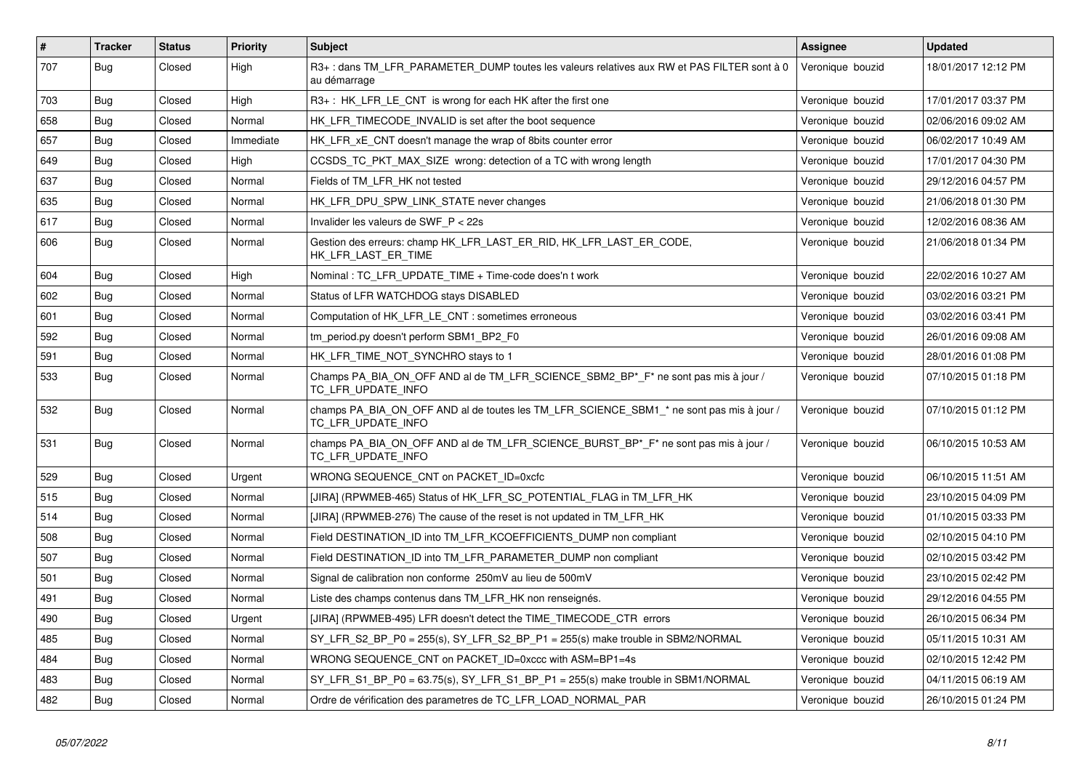| $\vert$ # | <b>Tracker</b> | <b>Status</b> | <b>Priority</b> | <b>Subject</b>                                                                                                 | Assignee         | <b>Updated</b>      |
|-----------|----------------|---------------|-----------------|----------------------------------------------------------------------------------------------------------------|------------------|---------------------|
| 707       | Bug            | Closed        | High            | R3+: dans TM LFR PARAMETER DUMP toutes les valeurs relatives aux RW et PAS FILTER sont à 0<br>au démarrage     | Veronique bouzid | 18/01/2017 12:12 PM |
| 703       | Bug            | Closed        | High            | $R3+$ : HK LFR LE CNT is wrong for each HK after the first one                                                 | Veronique bouzid | 17/01/2017 03:37 PM |
| 658       | Bug            | Closed        | Normal          | HK LFR TIMECODE INVALID is set after the boot sequence                                                         | Veronique bouzid | 02/06/2016 09:02 AM |
| 657       | Bug            | Closed        | Immediate       | HK LFR xE CNT doesn't manage the wrap of 8bits counter error                                                   | Veronique bouzid | 06/02/2017 10:49 AM |
| 649       | Bug            | Closed        | Hiah            | CCSDS_TC_PKT_MAX_SIZE wrong: detection of a TC with wrong length                                               | Veronique bouzid | 17/01/2017 04:30 PM |
| 637       | Bug            | Closed        | Normal          | Fields of TM LFR HK not tested                                                                                 | Veronique bouzid | 29/12/2016 04:57 PM |
| 635       | Bug            | Closed        | Normal          | HK_LFR_DPU_SPW_LINK_STATE never changes                                                                        | Veronique bouzid | 21/06/2018 01:30 PM |
| 617       | Bug            | Closed        | Normal          | Invalider les valeurs de SWF $P < 22s$                                                                         | Veronique bouzid | 12/02/2016 08:36 AM |
| 606       | Bug            | Closed        | Normal          | Gestion des erreurs: champ HK LFR LAST ER RID, HK LFR LAST ER CODE,<br>HK_LFR_LAST_ER_TIME                     | Veronique bouzid | 21/06/2018 01:34 PM |
| 604       | Bug            | Closed        | High            | Nominal: TC LFR UPDATE TIME + Time-code does'n t work                                                          | Veronique bouzid | 22/02/2016 10:27 AM |
| 602       | Bug            | Closed        | Normal          | Status of LFR WATCHDOG stays DISABLED                                                                          | Veronique bouzid | 03/02/2016 03:21 PM |
| 601       | Bug            | Closed        | Normal          | Computation of HK LFR LE CNT : sometimes erroneous                                                             | Veronique bouzid | 03/02/2016 03:41 PM |
| 592       | Bug            | Closed        | Normal          | tm period.py doesn't perform SBM1 BP2 F0                                                                       | Veronique bouzid | 26/01/2016 09:08 AM |
| 591       | Bug            | Closed        | Normal          | HK LFR TIME NOT SYNCHRO stays to 1                                                                             | Veronique bouzid | 28/01/2016 01:08 PM |
| 533       | Bug            | Closed        | Normal          | Champs PA_BIA_ON_OFF AND al de TM_LFR_SCIENCE_SBM2_BP*_F* ne sont pas mis à jour /<br>TC LFR UPDATE INFO       | Veronique bouzid | 07/10/2015 01:18 PM |
| 532       | Bug            | Closed        | Normal          | champs PA_BIA_ON_OFF AND al de toutes les TM_LFR_SCIENCE_SBM1_* ne sont pas mis à jour /<br>TC LFR UPDATE INFO | Veronique bouzid | 07/10/2015 01:12 PM |
| 531       | Bug            | Closed        | Normal          | champs PA_BIA_ON_OFF AND al de TM_LFR_SCIENCE_BURST_BP*_F* ne sont pas mis à jour /<br>TC LFR UPDATE INFO      | Veronique bouzid | 06/10/2015 10:53 AM |
| 529       | Bug            | Closed        | Urgent          | WRONG SEQUENCE CNT on PACKET ID=0xcfc                                                                          | Veronique bouzid | 06/10/2015 11:51 AM |
| 515       | Bug            | Closed        | Normal          | [JIRA] (RPWMEB-465) Status of HK_LFR_SC_POTENTIAL_FLAG in TM_LFR_HK                                            | Veronique bouzid | 23/10/2015 04:09 PM |
| 514       | Bug            | Closed        | Normal          | [JIRA] (RPWMEB-276) The cause of the reset is not updated in TM LFR HK                                         | Veronique bouzid | 01/10/2015 03:33 PM |
| 508       | Bug            | Closed        | Normal          | Field DESTINATION ID into TM LFR KCOEFFICIENTS DUMP non compliant                                              | Veronique bouzid | 02/10/2015 04:10 PM |
| 507       | Bug            | Closed        | Normal          | Field DESTINATION ID into TM LFR PARAMETER DUMP non compliant                                                  | Veronique bouzid | 02/10/2015 03:42 PM |
| 501       | Bug            | Closed        | Normal          | Signal de calibration non conforme 250mV au lieu de 500mV                                                      | Veronique bouzid | 23/10/2015 02:42 PM |
| 491       | Bug            | Closed        | Normal          | Liste des champs contenus dans TM LFR HK non renseignés.                                                       | Veronique bouzid | 29/12/2016 04:55 PM |
| 490       | Bug            | Closed        | Urgent          | [JIRA] (RPWMEB-495) LFR doesn't detect the TIME TIMECODE CTR errors                                            | Veronique bouzid | 26/10/2015 06:34 PM |
| 485       | Bug            | Closed        | Normal          | SY LFR S2 BP P0 = $255(s)$ , SY LFR S2 BP P1 = $255(s)$ make trouble in SBM2/NORMAL                            | Veronique bouzid | 05/11/2015 10:31 AM |
| 484       | Bug            | Closed        | Normal          | WRONG SEQUENCE CNT on PACKET ID=0xccc with ASM=BP1=4s                                                          | Veronique bouzid | 02/10/2015 12:42 PM |
| 483       | Bug            | Closed        | Normal          | SY_LFR_S1_BP_P0 = 63.75(s), SY_LFR_S1_BP_P1 = 255(s) make trouble in SBM1/NORMAL                               | Veronique bouzid | 04/11/2015 06:19 AM |
| 482       | Bug            | Closed        | Normal          | Ordre de vérification des parametres de TC LFR LOAD NORMAL PAR                                                 | Veronique bouzid | 26/10/2015 01:24 PM |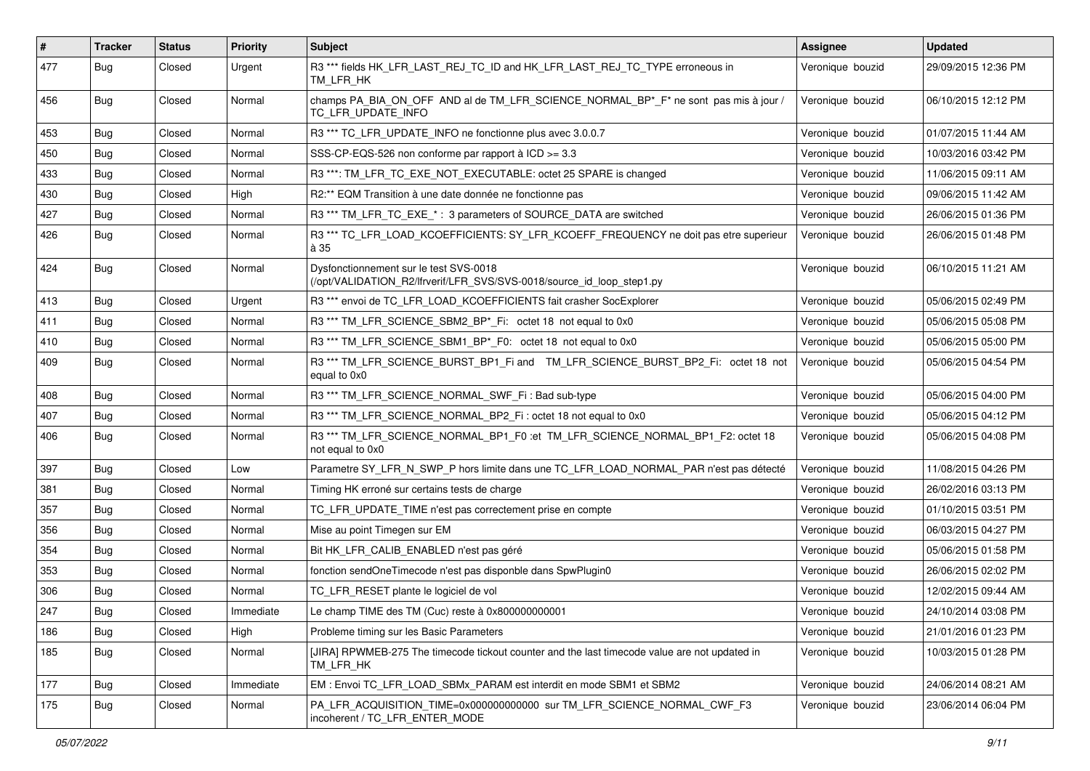| $\sharp$ | <b>Tracker</b> | <b>Status</b> | <b>Priority</b> | <b>Subject</b>                                                                                                  | Assignee         | <b>Updated</b>      |
|----------|----------------|---------------|-----------------|-----------------------------------------------------------------------------------------------------------------|------------------|---------------------|
| 477      | Bug            | Closed        | Urgent          | R3 *** fields HK_LFR_LAST_REJ_TC_ID and HK_LFR_LAST_REJ_TC_TYPE erroneous in<br>TM LFR HK                       | Veronique bouzid | 29/09/2015 12:36 PM |
| 456      | Bug            | Closed        | Normal          | champs PA_BIA_ON_OFF AND al de TM_LFR_SCIENCE_NORMAL_BP*_F* ne sont pas mis à jour /<br>TC_LFR_UPDATE_INFO      | Veronique bouzid | 06/10/2015 12:12 PM |
| 453      | Bug            | Closed        | Normal          | R3 *** TC_LFR_UPDATE_INFO ne fonctionne plus avec 3.0.0.7                                                       | Veronique bouzid | 01/07/2015 11:44 AM |
| 450      | Bug            | Closed        | Normal          | SSS-CP-EQS-526 non conforme par rapport à ICD >= 3.3                                                            | Veronique bouzid | 10/03/2016 03:42 PM |
| 433      | Bug            | Closed        | Normal          | R3 ***: TM_LFR_TC_EXE_NOT_EXECUTABLE: octet 25 SPARE is changed                                                 | Veronique bouzid | 11/06/2015 09:11 AM |
| 430      | Bug            | Closed        | High            | R2:** EQM Transition à une date donnée ne fonctionne pas                                                        | Veronique bouzid | 09/06/2015 11:42 AM |
| 427      | Bug            | Closed        | Normal          | R3 *** TM_LFR_TC_EXE_*: 3 parameters of SOURCE_DATA are switched                                                | Veronique bouzid | 26/06/2015 01:36 PM |
| 426      | Bug            | Closed        | Normal          | R3 *** TC_LFR_LOAD_KCOEFFICIENTS: SY_LFR_KCOEFF_FREQUENCY ne doit pas etre superieur<br>à 35                    | Veronique bouzid | 26/06/2015 01:48 PM |
| 424      | Bug            | Closed        | Normal          | Dysfonctionnement sur le test SVS-0018<br>(/opt/VALIDATION_R2/lfrverif/LFR_SVS/SVS-0018/source_id_loop_step1.py | Veronique bouzid | 06/10/2015 11:21 AM |
| 413      | Bug            | Closed        | Urgent          | R3 *** envoi de TC_LFR_LOAD_KCOEFFICIENTS fait crasher SocExplorer                                              | Veronique bouzid | 05/06/2015 02:49 PM |
| 411      | Bug            | Closed        | Normal          | R3 <sup>***</sup> TM LFR SCIENCE SBM2 BP <sup>*</sup> Fi: octet 18 not equal to 0x0                             | Veronique bouzid | 05/06/2015 05:08 PM |
| 410      | Bug            | Closed        | Normal          | R3 *** TM_LFR_SCIENCE_SBM1_BP*_F0: octet 18 not equal to 0x0                                                    | Veronique bouzid | 05/06/2015 05:00 PM |
| 409      | Bug            | Closed        | Normal          | R3 *** TM_LFR_SCIENCE_BURST_BP1_Fi and TM_LFR_SCIENCE_BURST_BP2_Fi: octet 18 not<br>equal to 0x0                | Veronique bouzid | 05/06/2015 04:54 PM |
| 408      | Bug            | Closed        | Normal          | R3 <sup>***</sup> TM LFR SCIENCE NORMAL SWF Fi: Bad sub-type                                                    | Veronique bouzid | 05/06/2015 04:00 PM |
| 407      | <b>Bug</b>     | Closed        | Normal          | R3 *** TM_LFR_SCIENCE_NORMAL_BP2_Fi : octet 18 not equal to 0x0                                                 | Veronique bouzid | 05/06/2015 04:12 PM |
| 406      | Bug            | Closed        | Normal          | R3 *** TM_LFR_SCIENCE_NORMAL_BP1_F0 :et TM_LFR_SCIENCE_NORMAL_BP1_F2: octet 18<br>not equal to 0x0              | Veronique bouzid | 05/06/2015 04:08 PM |
| 397      | Bug            | Closed        | Low             | Parametre SY_LFR_N_SWP_P hors limite dans une TC_LFR_LOAD_NORMAL_PAR n'est pas détecté                          | Veronique bouzid | 11/08/2015 04:26 PM |
| 381      | Bug            | Closed        | Normal          | Timing HK erroné sur certains tests de charge                                                                   | Veronique bouzid | 26/02/2016 03:13 PM |
| 357      | Bug            | Closed        | Normal          | TC LFR UPDATE TIME n'est pas correctement prise en compte                                                       | Veronique bouzid | 01/10/2015 03:51 PM |
| 356      | Bug            | Closed        | Normal          | Mise au point Timegen sur EM                                                                                    | Veronique bouzid | 06/03/2015 04:27 PM |
| 354      | Bug            | Closed        | Normal          | Bit HK LFR CALIB ENABLED n'est pas géré                                                                         | Veronique bouzid | 05/06/2015 01:58 PM |
| 353      | Bug            | Closed        | Normal          | fonction sendOneTimecode n'est pas disponble dans SpwPlugin0                                                    | Veronique bouzid | 26/06/2015 02:02 PM |
| 306      | <b>Bug</b>     | Closed        | Normal          | TC_LFR_RESET plante le logiciel de vol                                                                          | Veronique bouzid | 12/02/2015 09:44 AM |
| 247      | <b>Bug</b>     | Closed        | Immediate       | Le champ TIME des TM (Cuc) reste à 0x800000000001                                                               | Veronique bouzid | 24/10/2014 03:08 PM |
| 186      | Bug            | Closed        | High            | Probleme timing sur les Basic Parameters                                                                        | Veronique bouzid | 21/01/2016 01:23 PM |
| 185      | Bug            | Closed        | Normal          | [JIRA] RPWMEB-275 The timecode tickout counter and the last timecode value are not updated in<br>TM_LFR_HK      | Veronique bouzid | 10/03/2015 01:28 PM |
| 177      | Bug            | Closed        | Immediate       | EM : Envoi TC_LFR_LOAD_SBMx_PARAM est interdit en mode SBM1 et SBM2                                             | Veronique bouzid | 24/06/2014 08:21 AM |
| 175      | Bug            | Closed        | Normal          | PA LFR ACQUISITION TIME=0x000000000000 sur TM LFR SCIENCE NORMAL CWF F3<br>incoherent / TC_LFR_ENTER_MODE       | Veronique bouzid | 23/06/2014 06:04 PM |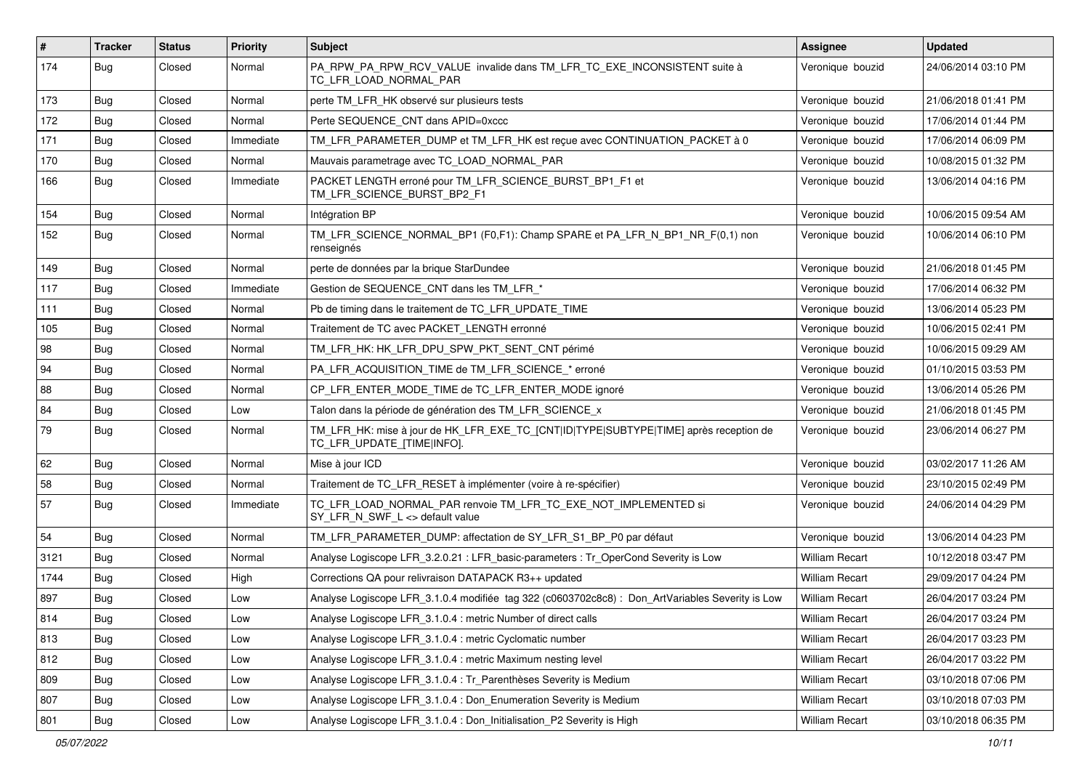| $\vert$ # | <b>Tracker</b> | <b>Status</b> | <b>Priority</b> | <b>Subject</b>                                                                                                      | Assignee              | <b>Updated</b>      |
|-----------|----------------|---------------|-----------------|---------------------------------------------------------------------------------------------------------------------|-----------------------|---------------------|
| 174       | <b>Bug</b>     | Closed        | Normal          | PA_RPW_PA_RPW_RCV_VALUE invalide dans TM_LFR_TC_EXE_INCONSISTENT suite à<br>TC_LFR_LOAD_NORMAL_PAR                  | Veronique bouzid      | 24/06/2014 03:10 PM |
| 173       | Bug            | Closed        | Normal          | perte TM_LFR_HK observé sur plusieurs tests                                                                         | Veronique bouzid      | 21/06/2018 01:41 PM |
| 172       | Bug            | Closed        | Normal          | Perte SEQUENCE_CNT dans APID=0xccc                                                                                  | Veronique bouzid      | 17/06/2014 01:44 PM |
| 171       | Bug            | Closed        | Immediate       | TM_LFR_PARAMETER_DUMP et TM_LFR_HK est reçue avec CONTINUATION_PACKET à 0                                           | Veronique bouzid      | 17/06/2014 06:09 PM |
| 170       | Bug            | Closed        | Normal          | Mauvais parametrage avec TC_LOAD_NORMAL_PAR                                                                         | Veronique bouzid      | 10/08/2015 01:32 PM |
| 166       | Bug            | Closed        | Immediate       | PACKET LENGTH erroné pour TM_LFR_SCIENCE_BURST_BP1_F1 et<br>TM_LFR_SCIENCE_BURST_BP2_F1                             | Veronique bouzid      | 13/06/2014 04:16 PM |
| 154       | <b>Bug</b>     | Closed        | Normal          | Intégration BP                                                                                                      | Veronique bouzid      | 10/06/2015 09:54 AM |
| 152       | <b>Bug</b>     | Closed        | Normal          | TM_LFR_SCIENCE_NORMAL_BP1 (F0,F1): Champ SPARE et PA_LFR_N_BP1_NR_F(0,1) non<br>renseignés                          | Veronique bouzid      | 10/06/2014 06:10 PM |
| 149       | Bug            | Closed        | Normal          | perte de données par la brique StarDundee                                                                           | Veronique bouzid      | 21/06/2018 01:45 PM |
| 117       | Bug            | Closed        | Immediate       | Gestion de SEQUENCE_CNT dans les TM_LFR_*                                                                           | Veronique bouzid      | 17/06/2014 06:32 PM |
| 111       | Bug            | Closed        | Normal          | Pb de timing dans le traitement de TC_LFR_UPDATE_TIME                                                               | Veronique bouzid      | 13/06/2014 05:23 PM |
| 105       | Bug            | Closed        | Normal          | Traitement de TC avec PACKET_LENGTH erronné                                                                         | Veronique bouzid      | 10/06/2015 02:41 PM |
| 98        | Bug            | Closed        | Normal          | TM_LFR_HK: HK_LFR_DPU_SPW_PKT_SENT_CNT périmé                                                                       | Veronique bouzid      | 10/06/2015 09:29 AM |
| 94        | Bug            | Closed        | Normal          | PA_LFR_ACQUISITION_TIME de TM_LFR_SCIENCE_* erroné                                                                  | Veronique bouzid      | 01/10/2015 03:53 PM |
| 88        | Bug            | Closed        | Normal          | CP LFR ENTER MODE TIME de TC LFR ENTER MODE ignoré                                                                  | Veronique bouzid      | 13/06/2014 05:26 PM |
| 84        | Bug            | Closed        | Low             | Talon dans la période de génération des TM_LFR_SCIENCE_x                                                            | Veronique bouzid      | 21/06/2018 01:45 PM |
| 79        | Bug            | Closed        | Normal          | TM_LFR_HK: mise à jour de HK_LFR_EXE_TC_[CNT ID TYPE SUBTYPE TIME] après reception de<br>TC_LFR_UPDATE_[TIME INFO]. | Veronique bouzid      | 23/06/2014 06:27 PM |
| 62        | Bug            | Closed        | Normal          | Mise à jour ICD                                                                                                     | Veronique bouzid      | 03/02/2017 11:26 AM |
| 58        | Bug            | Closed        | Normal          | Traitement de TC_LFR_RESET à implémenter (voire à re-spécifier)                                                     | Veronique bouzid      | 23/10/2015 02:49 PM |
| 57        | Bug            | Closed        | Immediate       | TC_LFR_LOAD_NORMAL_PAR renvoie TM_LFR_TC_EXE_NOT_IMPLEMENTED si<br>SY_LFR_N_SWF_L <> default value                  | Veronique bouzid      | 24/06/2014 04:29 PM |
| 54        | Bug            | Closed        | Normal          | TM_LFR_PARAMETER_DUMP: affectation de SY_LFR_S1_BP_P0 par défaut                                                    | Veronique bouzid      | 13/06/2014 04:23 PM |
| 3121      | Bug            | Closed        | Normal          | Analyse Logiscope LFR_3.2.0.21 : LFR_basic-parameters : Tr_OperCond Severity is Low                                 | <b>William Recart</b> | 10/12/2018 03:47 PM |
| 1744      | Bug            | Closed        | High            | Corrections QA pour relivraison DATAPACK R3++ updated                                                               | <b>William Recart</b> | 29/09/2017 04:24 PM |
| 897       | <b>Bug</b>     | Closed        | Low             | Analyse Logiscope LFR_3.1.0.4 modifiée tag 322 (c0603702c8c8) : Don_ArtVariables Severity is Low                    | <b>William Recart</b> | 26/04/2017 03:24 PM |
| 814       | Bug            | Closed        | Low             | Analyse Logiscope LFR_3.1.0.4 : metric Number of direct calls                                                       | William Recart        | 26/04/2017 03:24 PM |
| 813       | <b>Bug</b>     | Closed        | Low             | Analyse Logiscope LFR 3.1.0.4 : metric Cyclomatic number                                                            | <b>William Recart</b> | 26/04/2017 03:23 PM |
| 812       | <b>Bug</b>     | Closed        | Low             | Analyse Logiscope LFR_3.1.0.4 : metric Maximum nesting level                                                        | <b>William Recart</b> | 26/04/2017 03:22 PM |
| 809       | <b>Bug</b>     | Closed        | Low             | Analyse Logiscope LFR_3.1.0.4 : Tr_Parenthèses Severity is Medium                                                   | <b>William Recart</b> | 03/10/2018 07:06 PM |
| 807       | Bug            | Closed        | Low             | Analyse Logiscope LFR_3.1.0.4 : Don_Enumeration Severity is Medium                                                  | William Recart        | 03/10/2018 07:03 PM |
| 801       | Bug            | Closed        | Low             | Analyse Logiscope LFR_3.1.0.4 : Don_Initialisation_P2 Severity is High                                              | <b>William Recart</b> | 03/10/2018 06:35 PM |